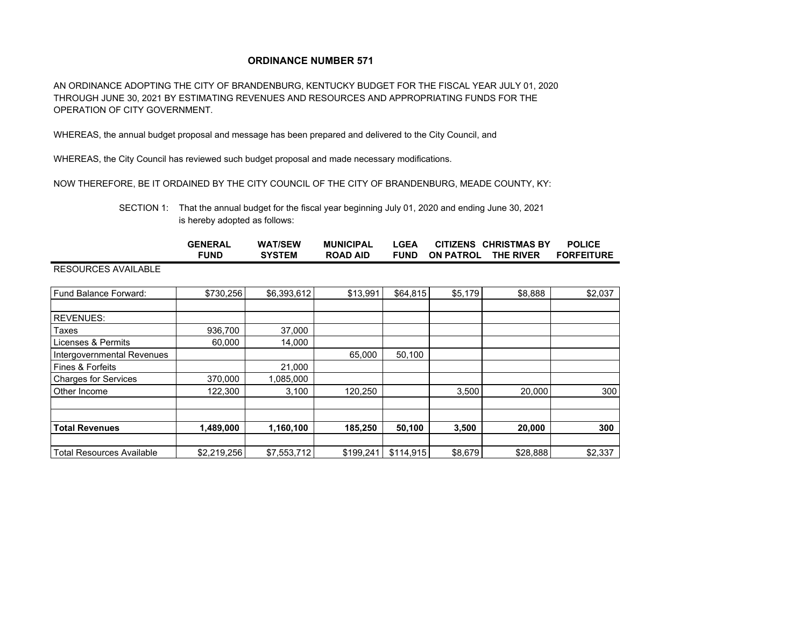## **ORDINANCE NUMBER 571**

AN ORDINANCE ADOPTING THE CITY OF BRANDENBURG, KENTUCKY BUDGET FOR THE FISCAL YEAR JULY 01, 2020 THROUGH JUNE 30, 2021 BY ESTIMATING REVENUES AND RESOURCES AND APPROPRIATING FUNDS FOR THE OPERATION OF CITY GOVERNMENT.

WHEREAS, the annual budget proposal and message has been prepared and delivered to the City Council, and

WHEREAS, the City Council has reviewed such budget proposal and made necessary modifications.

NOW THEREFORE, BE IT ORDAINED BY THE CITY COUNCIL OF THE CITY OF BRANDENBURG, MEADE COUNTY, KY:

SECTION 1: That the annual budget for the fiscal year beginning July 01, 2020 and ending June 30, 2021 is hereby adopted as follows:

|                                  | <b>GENERAL</b><br><b>FUND</b> | <b>WAT/SEW</b><br><b>SYSTEM</b> | <b>MUNICIPAL</b><br><b>ROAD AID</b> | <b>LGEA</b><br><b>FUND</b> | <b>CITIZENS</b><br><b>ON PATROL</b> | <b>CHRISTMAS BY</b><br>THE RIVER | <b>POLICE</b><br><b>FORFEITURE</b> |
|----------------------------------|-------------------------------|---------------------------------|-------------------------------------|----------------------------|-------------------------------------|----------------------------------|------------------------------------|
| <b>RESOURCES AVAILABLE</b>       |                               |                                 |                                     |                            |                                     |                                  |                                    |
| Fund Balance Forward:            | \$730,256                     | \$6,393,612                     | \$13,991                            | \$64,815                   | \$5,179                             | \$8,888                          | \$2,037                            |
| <b>REVENUES:</b>                 |                               |                                 |                                     |                            |                                     |                                  |                                    |
| Taxes                            | 936,700                       | 37,000                          |                                     |                            |                                     |                                  |                                    |
| Licenses & Permits               | 60,000                        | 14,000                          |                                     |                            |                                     |                                  |                                    |
| Intergovernmental Revenues       |                               |                                 | 65,000                              | 50,100                     |                                     |                                  |                                    |
| Fines & Forfeits                 |                               | 21,000                          |                                     |                            |                                     |                                  |                                    |
| <b>Charges for Services</b>      | 370,000                       | 1,085,000                       |                                     |                            |                                     |                                  |                                    |
| Other Income                     | 122,300                       | 3,100                           | 120,250                             |                            | 3,500                               | 20,000                           | 300                                |
|                                  |                               |                                 |                                     |                            |                                     |                                  |                                    |
| <b>Total Revenues</b>            | 1,489,000                     | 1,160,100                       | 185,250                             | 50,100                     | 3,500                               | 20,000                           | 300                                |
| <b>Total Resources Available</b> | \$2,219,256                   | \$7,553,712                     | \$199,241                           | \$114,915                  | \$8,679                             | \$28,888                         | \$2,337                            |